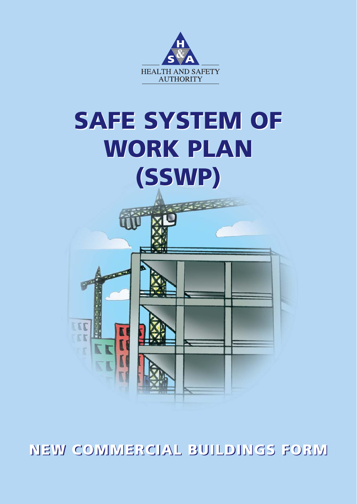

# **SAFE SYSTEM OF SAFE SYSTEM OF WORK PLAN WORK PLAN (SSWP) (SSWP)**

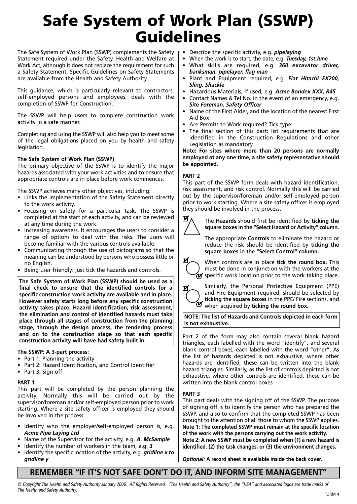### **Safe System of Work Plan (SSWP) Guidelines**

The Safe System of Work Plan (SSWP) complements the Safety Statement required under the Safety, Health and Welfare at Work Act, although it does not replace the requirement for such a Safety Statement. Specific Guidelines on Safety Statements are available from the Health and Safety Authority.

This guidance, which is particularly relevant to contractors, self-employed persons and employees, deals with the completion of SSWP for Construction.

The SSWP will help users to complete construction work activity in a safe manner.

Completing and using the SSWP will also help you to meet some of the legal obligations placed on you by health and safety legislation.

#### **The Safe System of Work Plan (SSWP)**

The primary objective of the SSWP is to identify the major hazards associated with your work activities and to ensure that appropriate controls are in place before work commences.

The SSWP achieves many other objectives, including:

- Links the implementation of the Safety Statement directly to the work activity.
- Focusing on safety for a particular task. The SSWP is completed at the start of each activity, and can be reviewed at any time during the work.
- Increasing awareness. It encourages the users to consider a range of options to deal with the risks. The users will become familiar with the various controls available.
- Communicating through the use of pictograms so that the meaning can be understood by persons who possess little or no English.
- Being user friendly: just tick the hazards and controls.

**The Safe System of Work Plan (SSWP) should be used as a final check to ensure that the identified controls for a specific construction work activity are available and in place. However safety starts long before any specific construction activity takes place. Hazard identification, risk assessment, the elimination and control of identified hazards must take place through all stages of construction from the planning stage, through the design process, the tendering process and on to the construction stage so that each specific construction activity will have had safety built in.** 

#### **The SSWP: A 3-part process:**

- Part 1: Planning the activity
- Part 2: Hazard Identification, and Control Identifier
- Part 3: Sign off

#### **PART 1**

This part will be completed by the person planning the activity. Normally this will be carried out by the supervisor/foreman and/or self-employed person prior to work starting. Where a site safety officer is employed they should be involved in the process.

- Identify who the employer/self-employed person is, e.g. *Acme Pipe Laying Ltd*
- Name of the Supervisor for the activity, e.g. *A. McSample*
- Identify the number of workers in the team, e.g. *3*
- Identify the specific location of the activity, e.g. *gridline x to gridline y*
- Describe the specific activity, e.g. *pipelaying*
- When the work is to start, the date, e.g. *Tuesday, 1st June*
- What skills are required, e.g. *360 excavator driver, banksman, pipelayer, flag man*
- Plant and Equipment required, e.g. *Fiat Hitachi EX200, Sling, Shackle*
- Hazardous Materials, if used, e.g. *Acme Bondex XXX, R45*
- Contact Names & Tel No. in the event of an emergency, e.g. *Site Foreman, Safety Officer*
- Name of the First Aider, and the location of the nearest First Aid Box
- Are Permits to Work required? Tick type
- The final section of this part: list requirements that are identified in the Construction Regulations and other Legislation as mandatory.

**Note: For sites where more than 20 persons are normally employed at any one time, a site safety representative should be appointed.**

#### **PART 2**

This part of the SSWP form deals with hazard identification, risk assessment, and risk control. Normally this will be carried out by the supervisor/foreman and/or self-employed person prior to work starting. Where a site safety officer is employed they should be involved in the process.



The **Hazards** should first be identified by **ticking the square boxes in the "Select Hazard or Activity" column.** 

The appropriate **Controls** to eliminate the hazard or reduce the risk should be identified by **ticking the square boxes** in the **"Select Control" column.**



When controls are in place **tick the round box.** This must be done in conjunction with the workers at the specific work location prior to the work taking place.



Similarly, the Personal Protective Equipment (PPE) and Fire Equipment required, should be selected by **ticking the square boxes** in the PPE/ Fire sections, and  $\bullet$  when acquired by **ticking the round box.** 

**NOTE: The list of Hazards and Controls depicted in each form is not exhaustive.** 

Part 2 of the form may also contain several blank hazard triangles, each labelled with the word "identify", and several blank control boxes, each labelled with the word "other". As the list of hazards depicted is not exhaustive, where other hazards are identified, these can be written into the blank hazard triangles. Similarly, as the list of controls depicted is not exhaustive, where other controls are identified, these can be written into the blank control boxes.

#### **PART 3**

This part deals with the signing off of the SSWP. The purpose of signing off is to identify the person who has prepared the SSWP, and also to confirm that the completed SSWP has been brought to the attention of all those to whom the SSWP applies. **Note 1: The completed SSWP must remain at the specific location of the work with the persons carrying out the work activity. Note 2: A new SSWP must be completed when (1) a new hazard is identified, (2) the task changes, or (3) the environment changes.**

*Optional:* **A record sheet is available inside the back cover.**

#### **REMEMBER "IF IT'S NOT SAFE DON'T DO IT, AND INFORM SITE MANAGEMENT"**

© Copyright The Health and Safety Authority January 2006. All Rights Reserved. "The Health and Safety Authority", the "HSA" and associated logos are trade marks of The Health and Safety Authority. FORM 4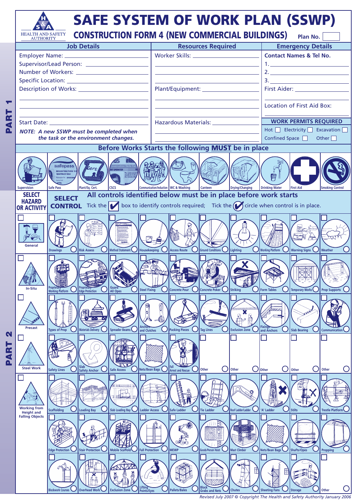

*Revised July 2007* © *Copyright The Health and Safety Authority January 2006*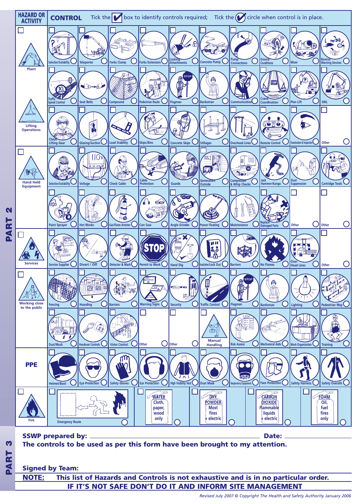

#### **Signed by Team:**

**IF IT'S NOT SAFE DON'T DO IT AND INFORM SITE MANAGEMENT NOTE: This list of Hazards and Controls is not exhaustive and is in no particular order.**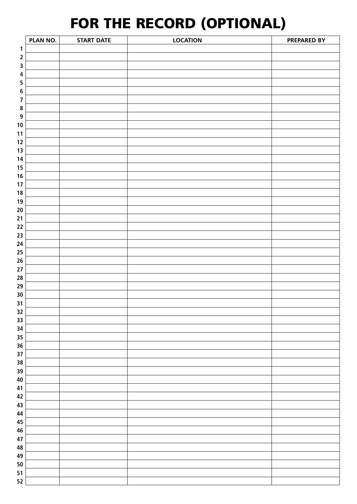### **FOR THE RECORD (OPTIONAL)**

|                         | PLAN NO. | <b>START DATE</b> | <b>LOCATION</b> | PREPARED BY |
|-------------------------|----------|-------------------|-----------------|-------------|
| $\mathbf{1}$            |          |                   |                 |             |
| $\mathbf 2$             |          |                   |                 |             |
| $\mathsf 3$             |          |                   |                 |             |
| $\overline{\mathbf{4}}$ |          |                   |                 |             |
| $\overline{\mathbf{5}}$ |          |                   |                 |             |
| $\bf 6$                 |          |                   |                 |             |
| $\overline{\mathbf{z}}$ |          |                   |                 |             |
| $\pmb{8}$               |          |                   |                 |             |
| $\boldsymbol{9}$        |          |                   |                 |             |
| 10                      |          |                   |                 |             |
| 11                      |          |                   |                 |             |
| 12                      |          |                   |                 |             |
| 13                      |          |                   |                 |             |
| 14                      |          |                   |                 |             |
| 15                      |          |                   |                 |             |
| 16                      |          |                   |                 |             |
| 17                      |          |                   |                 |             |
| 18                      |          |                   |                 |             |
| 19                      |          |                   |                 |             |
| 20                      |          |                   |                 |             |
| 21                      |          |                   |                 |             |
| 22                      |          |                   |                 |             |
| 23                      |          |                   |                 |             |
| 24                      |          |                   |                 |             |
| 25                      |          |                   |                 |             |
| 26                      |          |                   |                 |             |
| 27                      |          |                   |                 |             |
| 28                      |          |                   |                 |             |
| 29                      |          |                   |                 |             |
| 30                      |          |                   |                 |             |
| 31                      |          |                   |                 |             |
| 32                      |          |                   |                 |             |
| 33                      |          |                   |                 |             |
| 34                      |          |                   |                 |             |
| 35                      |          |                   |                 |             |
| 36<br>37                |          |                   |                 |             |
| 38                      |          |                   |                 |             |
| 39                      |          |                   |                 |             |
| 40                      |          |                   |                 |             |
| 41                      |          |                   |                 |             |
| 42                      |          |                   |                 |             |
| 43                      |          |                   |                 |             |
| 44                      |          |                   |                 |             |
| 45                      |          |                   |                 |             |
| 46                      |          |                   |                 |             |
| 47                      |          |                   |                 |             |
| 48                      |          |                   |                 |             |
| 49                      |          |                   |                 |             |
| 50                      |          |                   |                 |             |
| 51                      |          |                   |                 |             |
| 52                      |          |                   |                 |             |